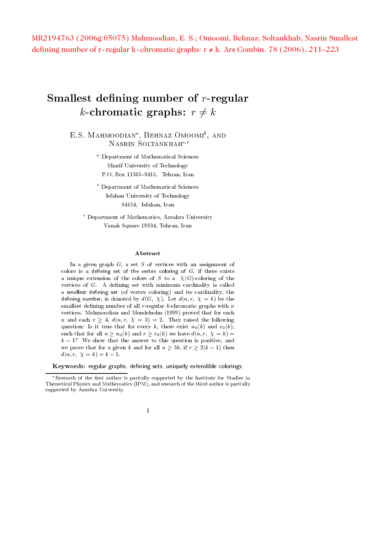MR2194763 (2006g:05075) Mahmoodian, E. S.; Omoomi, Behnaz; Soltankhah, Nasrin Smallest defining number of r-regular k-chromatic graphs: r ≠ k. Ars Combin. 78 (2006), 211–223

# -  -  --  -

L.S. MAHMOODIAN", DEHNAZ UMOOMI', AND NASRIN SOLTANKHA $H^{c,*}$ 

> $\tilde{\phantom{\phi}}$  Department of Mathematical Sciences  
> - -

 !"# -# \$

- Department of Mathematical Sciences  $\frac{1}{2}$ %""# \$ # \$

- Department of Mathematics, Azzanra University () \*+- !%"# -# \$

\$ -  # - - -- ,
 - - - - -- # -- -  $\alpha$  and  $\alpha$  credible is the colors of  $\beta$  to  $\alpha$  (if  $\alpha$ ) coloring of the -- & 0-1 - ,
 + 0 -<sup>0</sup> - - - - -- 
. 0 0

# - $\alpha$  . The concrete  $\alpha$  and  $\alpha$  is  $\alpha$  and  $\alpha$  is  $\alpha$  and  $\alpha$  is  $\alpha$  is  $\alpha$  . The set of  $\alpha$ - 0-1
 +2- /-+ / 
  ,
 --  0
 0 -0-  -!!!. -0  -  $\alpha$  -  $\alpha$  -  $\alpha$  -  $\alpha$  -  $\alpha$  -  $\alpha$  -  $\alpha$  -  $\alpha$  -  $\alpha$  -  $\alpha$  -  $\alpha$  -  $\alpha$  -  $\alpha$  -  $\alpha$  -  $\alpha$  -  $\alpha$  -  $\alpha$  -  $\alpha$  -  $\alpha$  -  $\alpha$  -  $\alpha$  -  $\alpha$  -  $\alpha$  -  $\alpha$  -  $\alpha$  -  $\alpha$  -  $\alpha$  -  $\alpha$  -  $\alpha$  -  $\alpha$  -  $\alpha$  -  $\alpha$ \*+- 6 \$ +-  -- # -- - -. 0 -.#  $\alpha$  . The state is the state of the state of the state  $\alpha$  is the state of  $\alpha$  is the state of  $\alpha$  $\cdots$  . The size  $\cdots$  size will be a size of decorrelating possession of wild ,- -  
- 0 # 5- - . - - <sup>4</sup> . 4 -

 $\frac{1}{2}$  . The contract of the contract of the contract of the contract  $\frac{1}{2}$ 

<sup>-</sup> Research of the first author is partially supported by the institute for Studies in Theoremon's hypropland magnetically and resourch of the three addition is particuly  $\mathcal{L}$  . The contract  $\mathcal{L}$  is the contract of  $\mathcal{L}$  . The contract of  $\mathcal{L}$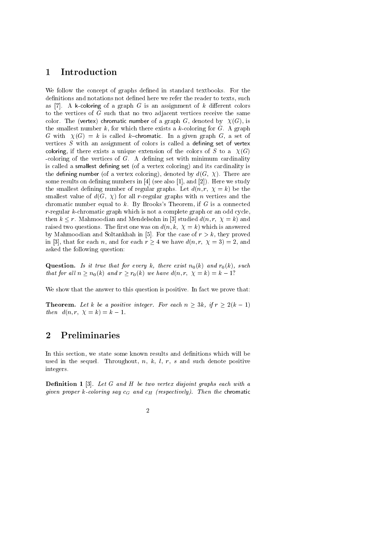#### Introduction  $\mathbf 1$

We follow the concept of graphs defined in standard textbooks. For the definitions and notations not defined here we refer the reader to texts, such as [7]. A k-coloring of a graph G is an assignment of k different colors to the vertices of  $G$  such that no two adjacent vertices receive the same color. The (vertex) chromatic number of a graph G, denoted by  $\chi(G)$ , is the smallest number  $k$ , for which there exists a  $k$ -coloring for  $G$ . A graph G with  $\chi(G) = k$  is called k-chromatic. In a given graph G, a set of vertices  $S$  with an assignment of colors is called a defining set of vertex coloring, if there exists a unique extension of the colors of S to a  $\chi(G)$ -coloring of the vertices of  $G$ . A defining set with minimum cardinality is called a smallest defining set (of a vertex coloring) and its cardinality is the defining number (of a vertex coloring), denoted by  $d(G, \chi)$ . There are some results on defining numbers in  $[4]$  (see also [1], and [2]). Here we study the smallest defining number of regular graphs. Let  $d(n, r, \chi = k)$  be the smallest value of  $d(G, \chi)$  for all r-regular graphs with n vertices and the chromatic number equal to  $k$ . By Brooks's Theorem, if  $G$  is a connected  $r$ -regular k-chromatic graph which is not a complete graph or an odd cycle. then  $k \leq r$ . Mahmoodian and Mendelsohn in [3] studied  $d(n, r, \chi = k)$  and raised two questions. The first one was on  $d(n, k, \chi = k)$  which is answered by Mahmoodian and Soltankhah in [5]. For the case of  $r > k$ , they proved in [3], that for each n, and for each  $r \ge 4$  we have  $d(n, r, \chi = 3) = 2$ , and asked the following question:

**Question.** Is it true that for every k, there exist  $n_0(k)$  and  $r_0(k)$ , such that for all  $n \ge n_0(k)$  and  $r \ge r_0(k)$  we have  $d(n, r, \chi = k) = k - 1$ ?

We show that the answer to this question is positive. In fact we prove that:

**Theorem.** Let k be a positive integer. For each  $n \geq 3k$ , if  $r \geq 2(k-1)$ then  $d(n, r, \chi = k) = k - 1$ .

#### $\overline{2}$ Preliminaries

In this section, we state some known results and definitions which will be used in the sequel. Throughout,  $n, k, l, r, s$  and such denote positive integers.

**Definition 1** [3]. Let  $G$  and  $H$  be two vertex disjoint graphs each with a given proper k-coloring say  $c_G$  and  $c_H$  (respectively). Then the chromatic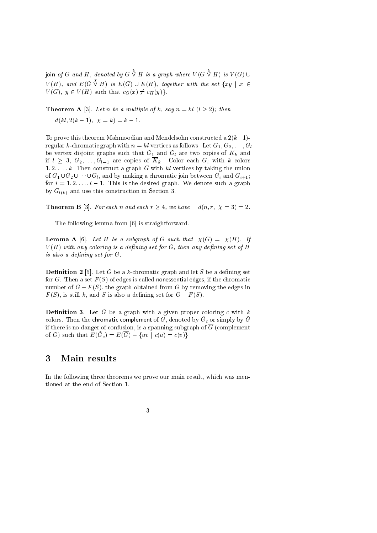join of G and H, denoted by  $G \overset{\chi}{\vee} H$  is a graph where  $V(G \overset{\chi}{\vee} H)$  is  $V(G) \cup$  $V(H)$ , and  $E(G \overset{\chi}{\vee} H)$  is  $E(G) \cup E(H)$ , together with the set  $\{xy \mid x \in$  $V(G)$ ,  $y \in V(H)$  such that  $c_G(x) \neq c_H(y)$ .

**Theorem A** [3]. Let *n* be a multiple of k, say  $n = kl$  ( $l \ge 2$ ); then  $d(kl, 2(k-1), \chi = k) = k-1.$ 

To prove this theorem Mahmoodian and Mendelsohn constructed a  $2(k-1)$ regular k-chromatic graph with  $n = kl$  vertices as follows. Let  $G_1, G_2, \ldots, G_l$ be vertex disjoint graphs such that  $G_1$  and  $G_l$  are two copies of  $K_k$  and if  $l \geq 3, G_2, \ldots, G_{l-1}$  are copies of  $\overline{K}_k$ . Color each  $G_i$  with k colors  $1, 2, \ldots, k$ . Then construct a graph G with kl vertices by taking the union of  $G_1 \cup G_2 \cup \cdots \cup G_l$ , and by making a chromatic join between  $G_i$  and  $G_{i+1}$ ; for  $i = 1, 2, ..., l - 1$ . This is the desired graph. We denote such a graph by  $G_{l(k)}$  and use this construction in Section 3.

**Theorem B** [3]. For each n and each  $r \geq 4$ , we have  $d(n, r, \chi = 3) = 2$ .

The following lemma from [6] is straightforward.

**Lemma A** [6]. Let H be a subgraph of G such that  $\chi(G) = \chi(H)$ . If  $V(H)$  with any coloring is a defining set for G, then any defining set of H is also a defining set for  $G$ .

**Definition 2** [5]. Let G be a k-chromatic graph and let S be a defining set for G. Then a set  $F(S)$  of edges is called nonessential edges, if the chromatic number of  $G - F(S)$ , the graph obtained from G by removing the edges in  $F(S)$ , is still k, and S is also a defining set for  $G-F(S)$ .

**Definition 3.** Let G be a graph with a given proper coloring c with  $k$ colors. Then the chromatic complement of G, denoted by  $\tilde{G}_c$  or simply by  $\tilde{G}$ if there is no danger of confusion, is a spanning subgraph of  $\overline{G}$  (complement of G) such that  $E(\tilde{G}_c) = E(\overline{G}) - \{uv \mid c(u) = c(v)\}.$ 

#### 3 Main results

In the following three theorems we prove our main result, which was mentioned at the end of Section 1.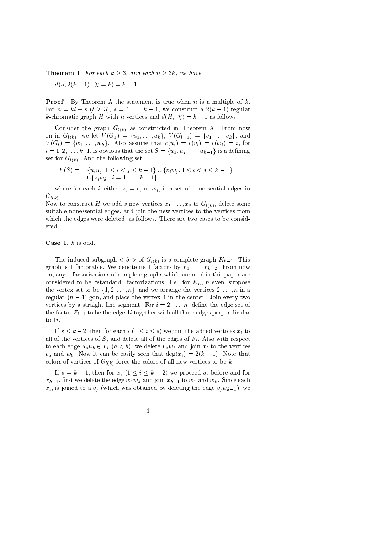**Theorem 1.** For each  $k \geq 3$ , and each  $n \geq 3k$ , we have

 $d(n, 2(k-1), \chi = k) = k-1.$ 

**Proof.** By Theorem A the statement is true when  $n$  is a multiple of  $k$ . For  $n = kl + s$   $(l > 3)$ ,  $s = 1, \ldots, k - 1$ , we construct a  $2(k-1)$ -regular k-chromatic graph H with n vertices and  $d(H, \chi) = k - 1$  as follows.

Consider the graph  $G_{l(k)}$  as constructed in Theorem A. From now on in  $G_{l(k)}$ , we let  $V(G_1) = \{u_1, \ldots, u_k\}$ ,  $V(G_{l-1}) = \{v_1, \ldots, v_k\}$ , and  $V(G_l) = \{w_1, \ldots, w_k\}$ . Also assume that  $c(u_i) = c(v_i) = c(w_i) = i$ , for  $i=1,2,\ldots,k$ . It is obvious that the set  $S = \{u_1, u_2, \ldots, u_{k-1}\}\$  is a defining set for  $G_{l(k)}$ . And the following set

$$
F(S) = \{u_i u_j, 1 \le i < j \le k-1\} \cup \{v_i w_j, 1 \le i < j \le k-1\}
$$
  

$$
\cup \{z_i w_k, i = 1, ..., k-1\};
$$

where for each i, either  $z_i = v_i$  or  $w_i$ , is a set of nonessential edges in  $G_{l(k)}$ .

Now to construct H we add s new vertices  $x_1, \ldots, x_s$  to  $G_{l(k)}$ , delete some suitable nonessential edges, and join the new vertices to the vertices from which the edges were deleted, as follows. There are two cases to be considered.

#### **Case 1.**  $k$  is odd.

The induced subgraph  $\langle S \rangle$  of  $G_{l(k)}$  is a complete graph  $K_{k-1}$ . This graph is 1-factorable. We denote its 1-factors by  $F_1, \ldots, F_{k-2}$ . From now on, any 1-factorizations of complete graphs which are used in this paper are considered to be "standard" factorizations. I.e. for  $K_n$ , n even, suppose the vertex set to be  $\{1, 2, ..., n\}$ , and we arrange the vertices  $2, ..., n$  in a regular  $(n-1)$ -gon, and place the vertex 1 in the center. Join every two vertices by a straight line segment. For  $i = 2, \ldots, n$ , define the edge set of the factor  $F_{i-1}$  to be the edge 1i together with all those edges perpendicular to  $1i$ .

If  $s \leq k-2$ , then for each  $i$   $(1 \leq i \leq s)$  we join the added vertices  $x_i$  to all of the vertices of S, and delete all of the edges of  $F_i$ . Also with respect to each edge  $u_a u_b \in F_i$   $(a < b)$ , we delete  $v_a w_b$  and join  $x_i$  to the vertices  $v_a$  and  $w_b$ . Now it can be easily seen that  $\deg(x_i) = 2(k-1)$ . Note that colors of vertices of  $G_{l(k)}$  force the colors of all new vertices to be k.

If  $s = k - 1$ , then for  $x_i$   $(1 \le i \le k - 2)$  we proceed as before and for  $x_{k-1}$ , first we delete the edge  $w_1w_k$  and join  $x_{k-1}$  to  $w_1$  and  $w_k$ . Since each  $x_i$ , is joined to a  $v_i$  (which was obtained by deleting the edge  $v_i w_{k-1}$ ), we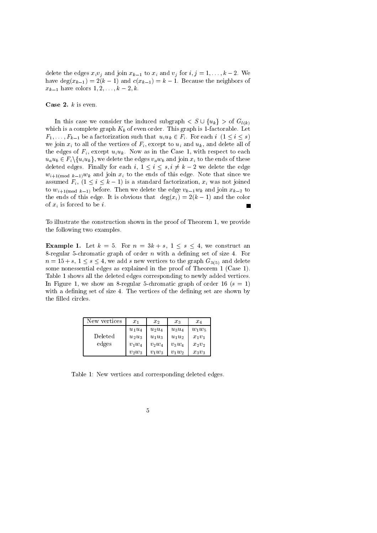delete the edges  $x_i v_j$  and join  $x_{k-1}$  to  $x_i$  and  $v_j$  for  $i, j = 1, ..., k-2$ . We have  $\deg(x_{k-1}) = 2(k-1)$  and  $c(x_{k-1}) = k-1$ . Because the neighbors of  $x_{k-1}$  have colors  $1, 2, ..., k-2, k$ .

Case 2.  $k$  is even.

In this case we consider the induced subgraph  $S \cup \{u_k\} > \text{of } G_{l(k)}$ which is a complete graph  $K_k$  of even order. This graph is 1-factorable. Let  $F_1, \ldots, F_{k-1}$  be a factorization such that  $u_i u_k \in F_i$ . For each  $i \ (1 \leq i \leq s)$ we join  $x_i$  to all of the vertices of  $F_i$ , except to  $u_i$  and  $u_k$ , and delete all of the edges of  $F_i$ , except  $u_i u_k$ . Now as in the Case 1, with respect to each  $u_a u_b \in F_i \backslash \{u_i u_k\}$ , we delete the edges  $v_a w_b$  and join  $x_i$  to the ends of these deleted edges. Finally for each i,  $1 \leq i \leq s, i \neq k-2$  we delete the edge  $w_{i+1 \text{mod } k-1}$ ,  $w_k$  and join  $x_i$  to the ends of this edge. Note that since we assumed  $F_i$ ,  $(1 \leq i \leq k-1)$  is a standard factorization,  $x_i$  was not joined to  $w_{i+1 \text{mod } k-1}$  before. Then we delete the edge  $v_{k-1}w_k$  and join  $x_{k-2}$  to the ends of this edge. It is obvious that  $deg(x_i) = 2(k-1)$  and the color of  $x_i$  is forced to be *i*.

To illustrate the construction shown in the proof of Theorem 1, we provide the following two examples.

**Example 1.** Let  $k = 5$ . For  $n = 3k + s$ ,  $1 \leq s \leq 4$ , we construct an 8-regular 5-chromatic graph of order n with a defining set of size 4. For  $n = 15 + s, 1 \le s \le 4$ , we add s new vertices to the graph  $G_{3(5)}$  and delete some nonessential edges as explained in the proof of Theorem 1 (Case 1). Table 1 shows all the deleted edges corresponding to newly added vertices. In Figure 1, we show an 8-regular 5-chromatic graph of order 16 ( $s = 1$ ) with a defining set of size 4. The vertices of the defining set are shown by the filled circles.

| New vertices | $x_1$    | $x_2$    | $x_3$    | $x_4$    |
|--------------|----------|----------|----------|----------|
|              | $u_1u_4$ | $u_2u_4$ | $u_3u_4$ | $w_1w_5$ |
| Deleted      | $u_2u_3$ | $u_1u_3$ | $u_1u_2$ | $x_1v_1$ |
| edges        | $v_1w_4$ | $v_2w_4$ | $v_3w_4$ | $x_2v_2$ |
|              | $v_2w_3$ | $v_1w_3$ | $v_1w_2$ | $x_3v_3$ |

Table 1: New vertices and corresponding deleted edges.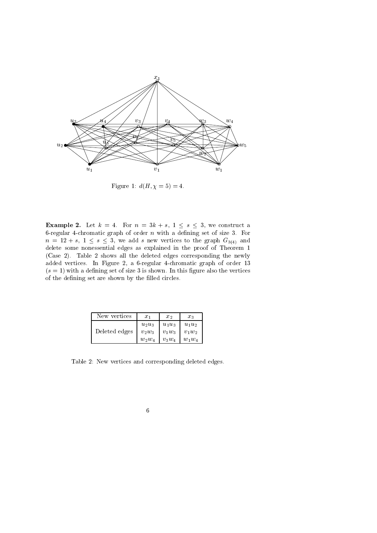

Figure 1:  $d(H, \chi = 5) = 4$ .

**Example 2.** Let  $k = 4$ . For  $n = 3k + s$ ,  $1 \leq s \leq 3$ , we construct a 6-regular 4-chromatic graph of order  $n$  with a defining set of size 3. For  $n = 12 + s, 1 \leq s \leq 3$ , we add s new vertices to the graph  $G_{3(4)}$  and delete some nonessential edges as explained in the proof of Theorem 1 (Case 2). Table 2 shows all the deleted edges corresponding the newly added vertices. In Figure 2, a 6-regular 4-chromatic graph of order 13  $(s = 1)$  with a defining set of size 3 is shown. In this figure also the vertices of the defining set are shown by the filled circles.

| New vertices  | $x_1$                | $x_{2}$              | $x_3$                |
|---------------|----------------------|----------------------|----------------------|
| Deleted edges | $u_2u_3$<br>$v_2w_3$ | $u_1u_3$<br>$v_1w_3$ | $u_1u_2$<br>$v_1w_2$ |
|               | $w_2w_4$             | $v_3w_4$             | $w_1w_4$             |

Table 2: New vertices and corresponding deleted edges.

 $\,6\,$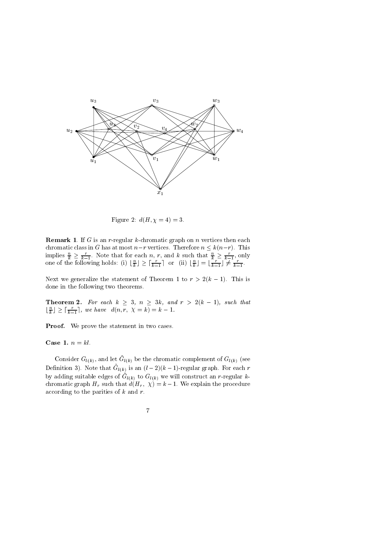

Figure 2:  $d(H, \chi = 4) = 3$ .

**Remark 1.** If G is an r-regular k-chromatic graph on n vertices then each chromatic class in G has at most  $n-r$  vertices. Therefore  $n \leq k(n-r)$ . This implies  $\frac{n}{k} \geq \frac{r}{k-1}$ . Note that for each *n*, *r*, and *k* such that  $\frac{n}{k} \geq \frac{r}{k-1}$ , only one of the following holds: (i)  $\lfloor \frac{n}{k} \rfloor \geq \lceil \frac{r}{k-1} \rceil$  or (ii)  $\lfloor \frac{n}{k} \rfloor = \lfloor \frac{r}{k-1} \rfloor \neq \frac{r}{k-1}$ .

Next we generalize the statement of Theorem 1 to  $r > 2(k-1)$ . This is done in the following two theorems.

**Theorem 2.** For each  $k \geq 3$ ,  $n \geq 3k$ , and  $r > 2(k-1)$ , such that  $\lfloor \frac{n}{k} \rfloor \geq \lceil \frac{r}{k-1} \rceil$ , we have  $d(n, r, \chi = k) = k - 1$ .

**Proof.** We prove the statement in two cases.

Case 1.  $n = kl$ .

Consider  $G_{l(k)}$ , and let  $\tilde{G}_{l(k)}$  be the chromatic complement of  $G_{l(k)}$  (see Definition 3). Note that  $\tilde{G}_{l(k)}$  is an  $(l-2)(k-1)$ -regular graph. For each r by adding suitable edges of  $\tilde{G}_{l(k)}$  to  $G_{l(k)}$  we will construct an r-regular kchromatic graph  $H_r$  such that  $d(H_r, \chi) = k-1$ . We explain the procedure according to the parities of  $k$  and  $r$ .

$$
7\,
$$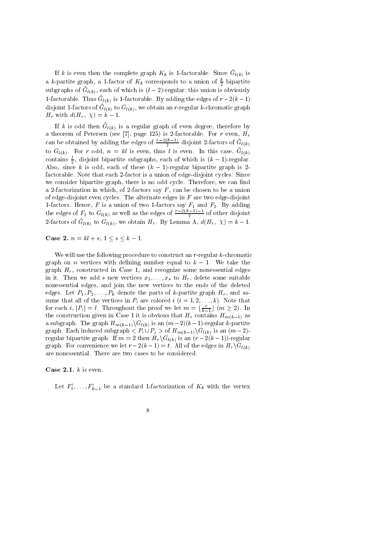If k is even then the complete graph  $K_k$  is 1-factorable. Since  $\tilde{G}_{l(k)}$  is a k-partite graph, a 1-factor of  $K_k$  corresponds to a union of  $\frac{k}{2}$  bipartite subgraphs of  $\tilde{G}_{l(k)}$ , each of which is  $(l-2)$ -regular; this union is obviously 1-factorable. Thus  $\tilde{G}_{l(k)}$  is 1-factorable. By adding the edges of  $r-2(k-1)$ disjoint 1-factors of  $\tilde{G}_{l(k)}$  to  $G_{l(k)}$ , we obtain an r-regular k-chromatic graph  $H_r$  with  $d(H_r, \chi) = k - 1$ .

If k is odd then  $\tilde{G}_{l(k)}$  is a regular graph of even degree, therefore by a theorem of Petersen (see [7], page 125) is 2-factorable. For r even,  $H_r$ can be obtained by adding the edges of  $\frac{r-2(k-1)}{2}$  disjoint 2-factors of  $\tilde{G}_{l(k)}$ to  $G_{l(k)}$ . For r odd,  $n = kl$  is even, thus l is even. In this case,  $\tilde{G}_{l(k)}^{(n)}$ contains  $\frac{l}{2}$ , disjoint bipartite subgraphs, each of which is  $(k-1)$ -regular. Also, since k is odd, each of these  $(k-1)$ -regular bipartite graph is 2factorable. Note that each 2-factor is a union of edge-disjoint cycles. Since we consider bipartite graph, there is no odd cycle. Therefore, we can find a 2-factorization in which, of 2-factors say  $F$ , can be chosen to be a union of edge-disjoint even cycles. The alternate edges in  $F$  are two edge-disjoint 1-factors. Hence, F is a union of two 1-factors say  $F_1$  and  $F_2$ . By adding the edges of  $F_1$  to  $G_{l(k)}$  as well as the edges of  $\frac{r-2(k-1)-1}{2}$  of other disjoint 2-factors of  $\tilde{G}_{l(k)}$  to  $G_{l(k)}$ , we obtain  $H_r$ . By Lemma A,  $d(H_r, \chi) = k - 1$ .

**Case 2.**  $n = kl + s, 1 \le s \le k - 1$ .

We will use the following procedure to construct an  $r$ -regular  $k$ -chromatic graph on *n* vertices with defining number equal to  $k-1$ . We take the graph  $H_r$ , constructed in Case 1, and recognize some nonessential edges in it. Then we add s new vertices  $x_1, \ldots, x_s$  to  $H_r$ , delete some suitable nonessential edges, and join the new vertices to the ends of the deleted edges. Let  $P_1, P_2, \ldots, P_k$  denote the parts of k-partite graph  $H_r$ , and assume that all of the vertices in  $P_i$  are colored  $i$   $(i = 1, 2, ..., k)$ . Note that for each i,  $|P_i| = l$ . Throughout the proof we let  $m = \lfloor \frac{r}{k-1} \rfloor$   $(m \ge 2)$ . In the construction given in Case 1 it is obvious that  $H_r$  contains  $H_{m(k-1)}$  as a subgraph. The graph  $H_{m(k-1)}\backslash G_{l(k)}$  is an  $(m-2)(k-1)$ -regular k-partite graph. Each induced subgraph  $\langle P_i \cup P_j \rangle$  of  $H_{m(k-1)} \backslash G_{l(k)}$  is an  $(m-2)$ regular bipartite graph. If  $m = 2$  then  $H_r \backslash G_{l(k)}$  is an  $(r - 2(k-1))$ -regular graph. For convenience we let  $r-2(k-1) = t$ . All of the edges in  $H_r \backslash G_{l(k)}$ are nonessential. There are two cases to be considered.

# Case 2.1.  $k$  is even.

Let  $F'_1, \ldots, F'_{k-1}$  be a standard 1-factorization of  $K_k$  with the vertex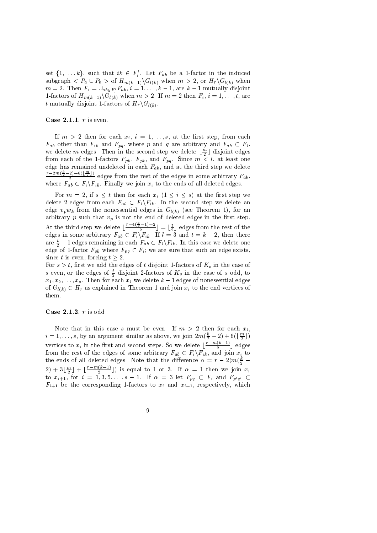set  $\{1,\ldots,k\}$ , such that  $ik \in F'_i$ . Let  $F_{ab}$  be a 1-factor in the induced subgraph  $\langle P_a \cup P_b \rangle$  of  $H_{m(k-1)} \backslash G_{l(k)}$  when  $m > 2$ , or  $H_r \backslash G_{l(k)}$  when  $m = 2$ . Then  $F_i = \bigcup_{ab \in F'_i} F_{ab}, i = 1, ..., k - 1$ , are  $k - 1$  mutually disjoint 1-factors of  $H_{m(k-1)}\setminus G_{l(k)}$  when  $m > 2$ . If  $m = 2$  then  $F_i$ ,  $i = 1, ..., t$ , are t mutually disjoint 1-factors of  $H_r \backslash G_{l(k)}$ .

Case 2.1.1.  $r$  is even.

If  $m > 2$  then for each  $x_i$ ,  $i = 1, \ldots, s$ , at the first step, from each  $F_{ab}$  other than  $F_{ik}$  and  $F_{pq}$ , where p and q are arbitrary and  $F_{ab} \subset F_i$ , we delete m edges. Then in the second step we delete  $\lfloor \frac{m}{2} \rfloor$  disjoint edges from each of the 1-factors  $F_{pk}$ ,  $F_{qk}$ , and  $F_{pq}$ . Since  $m < l$ , at least one edge has remained undeleted in each  $F_{ab}$ , and at the third step we delete  $rac{r-2m(\frac{k}{2}-2)-6(\lfloor \frac{m}{2}\rfloor)}{2}$  edges from the rest of the edges in some arbitrary  $F_{ab}$ , where  $F_{ab}$   $\subset$   $F_i \backslash F_{ik}$ . Finally we join  $x_i$  to the ends of all deleted edges.

For  $m = 2$ , if  $s \leq t$  then for each  $x_i$   $(1 \leq i \leq s)$  at the first step we delete 2 edges from each  $F_{ab} \subset F_i \backslash F_{ik}$ . In the second step we delete an edge  $v_p w_k$  from the nonessential edges in  $G_{l(k)}$  (see Theorem 1), for an arbitrary p such that  $v_p$  is not the end of deleted edges in the first step. At the third step we delete  $\lfloor \frac{r-4(\frac{k}{2}-1)-2}{2} \rfloor = \lfloor \frac{t}{2} \rfloor$  edges from the rest of the edges in some arbitrary  $F_{ab} \subset F_i \setminus F_{ik}$ . If  $l = 3$  and  $t = k - 2$ , then there are  $\frac{t}{2} - 1$  edges remaining in each  $F_{ab} \subset F_i \backslash F_{ik}$ . In this case we delete one edge of 1-factor  $F_{qk}$  where  $F_{pq} \subset F_i$ ; we are sure that such an edge exists, since  $t$  is even, forcing  $t\geq 2$ 

For  $s > t$ , first we add the edges of t disjoint 1-factors of  $K_s$  in the case of s even, or the edges of  $\frac{t}{2}$  disjoint 2-factors of  $K_s$  in the case of s odd, to  $x_1, x_2, \ldots, x_s$ . Then for each  $x_i$  we delete  $k-1$  edges of nonessential edges of  $G_{l(k)} \subset H_r$  as explained in Theorem 1 and join  $x_i$  to the end vertices of them.

#### Case 2.1.2.  $r$  is odd.

Note that in this case s must be even. If  $m > 2$  then for each  $x_i$ ,  $i = 1, \ldots, s$ , by an argument similar as above, we join  $2m(\frac{k}{2} - 2) + 6(\lfloor \frac{m}{2} \rfloor)$ vertices to  $x_i$  in the first and second steps. So we delete  $\left[\frac{r-m(k-1)}{2}\right]$  edges from the rest of the edges of some arbitrary  $F_{ab} \subset F_i \backslash F_{ik}$ , and join  $x_i$  to the ends of all deleted edges. Note that the difference  $\alpha = r - 2(m(\frac{k}{2} -$ 2) + 3 $\lfloor \frac{m}{2} \rfloor$  +  $\lfloor \frac{r-m(k-1)}{2} \rfloor$ ) is equal to 1 or 3. If  $\alpha = 1$  then we join  $x_i$  to  $x_{i+1}$ , for  $i = 1, 3, 5, ..., s - 1$ . If  $\alpha = 3$  let  $F_{pq} \subset F_i$  and  $F_{p'q'} \subset$  $F_{i+1}$  be the corresponding 1-factors to  $x_i$  and  $x_{i+1}$ , respectively, which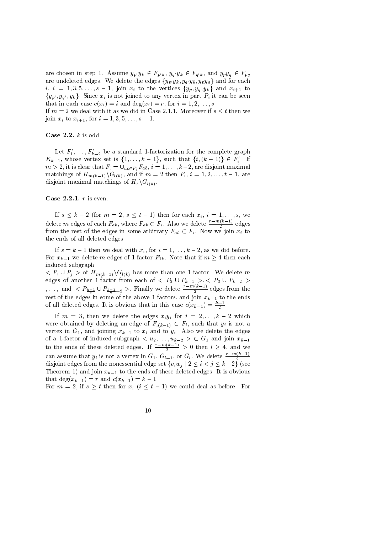are chosen in step 1. Assume  $y_{p'}y_k \in F_{p'k}$ ,  $y_{q'}y_k \in F_{q'k}$ , and  $y_py_q \in F_{pq}$ are undeleted edges. We delete the edges  $\{y_{p'}y_k, y_{q'}y_k, y_py_q\}$  and for each *i*, *i* = 1,3,5,...,*s* - 1, join  $x_i$  to the vertices  $\{y_p, y_q, y_k\}$  and  $x_{i+1}$  to  $\{y_{p'}, y_{q'}, y_k\}$ . Since  $x_i$  is not joined to any vertex in part  $P_i$  it can be seen that in each case  $c(x_i) = i$  and  $\deg(x_i) = r$ , for  $i = 1, 2, ..., s$ .

If  $m = 2$  we deal with it as we did in Case 2.1.1. Moreover if  $s \leq t$  then we join  $x_i$  to  $x_{i+1}$ , for  $i = 1, 3, 5, \ldots, s-1$ .

Case 2.2.  $k$  is odd.

Let  $F'_1, \ldots, F'_{k-2}$  be a standard 1-factorization for the complete graph  $K_{k-1}$ , whose vertex set is  $\{1,\ldots,k-1\}$ , such that  $\{i,(k-1)\}\in F'_i$ . If  $m > 2$ , it is clear that  $F_i = \bigcup_{ab \in F'_i} F_{ab}, i = 1, \ldots, k-2$ , are disjoint maximal matchings of  $H_{m(k-1)}\backslash G_{l(k)}$ , and if  $m=2$  then  $F_i$ ,  $i=1,2,\ldots,t-1$ , are disjoint maximal matchings of  $H_r \backslash G_{l(k)}$ .

### Case 2.2.1.  $r$  is even.

If  $s \leq k-2$  (for  $m = 2$ ,  $s \leq t-1$ ) then for each  $x_i$ ,  $i = 1, \ldots, s$ , we delete m edges of each  $F_{ab}$ , where  $F_{ab} \subset F_i$ . Also we delete  $\frac{r-m(k-1)}{2}$  edges from the rest of the edges in some arbitrary  $F_{ab} \subset F_i$ . Now we join  $x_i$  to the ends of all deleted edges.

If  $s = k - 1$  then we deal with  $x_i$ , for  $i = 1, ..., k - 2$ , as we did before. For  $x_{k-1}$  we delete m edges of 1-factor  $F_{1k}$ . Note that if  $m \geq 4$  then each induced subgraph

 $P_i \cup P_j >$  of  $H_{m(k-1)} \backslash G_{l(k)}$  has more than one 1-factor. We delete m edges of another 1-factor from each of  $\langle P_2 \cup P_{k-1} \rangle$ ,  $\langle P_3 \cup P_{k-2} \rangle$ ,..., and  $\langle P_{\frac{k-1}{2}} \cup P_{\frac{k-1}{2}+2} \rangle$ . Finally we delete  $\frac{r-m(k-1)}{2}$  edges from the rest of the edges in some of the above 1-factors, and join  $x_{k-1}$  to the ends of all deleted edges. It is obvious that in this case  $c(x_{k-1}) = \frac{k+1}{2}$ 

If  $m = 3$ , then we delete the edges  $x_i y_i$  for  $i = 2, ..., k-2$  which were obtained by deleting an edge of  $F_{i(k-1)} \subset F_i$ , such that  $y_i$  is not a vertex in  $G_1$ , and joining  $x_{k-1}$  to  $x_i$  and to  $y_i$ . Also we delete the edges of a 1-factor of induced subgraph  $\langle u_2, \ldots, u_{k-2} \rangle \subset G_1$  and join  $x_{k-1}$  to the ends of these deleted edges. If  $\frac{r - m(k-1)}{2} > 0$  then  $l \geq 4$ , and we can assume that  $y_i$  is not a vertex in  $G_1, G_{l-1}$ , or  $G_l$ . We delete  $\frac{r-m(k-1)}{2}$ disjoint edges from the nonessential edge set  $\{v_iw_j \mid 2 \leq i < j \leq k-2\}$  (see Theorem 1) and join  $x_{k-1}$  to the ends of these deleted edges. It is obvious that  $deg(x_{k-1}) = r$  and  $c(x_{k-1}) = k - 1$ .

For  $m = 2$ , if  $s \geq t$  then for  $x_i$   $(i \leq t-1)$  we could deal as before. For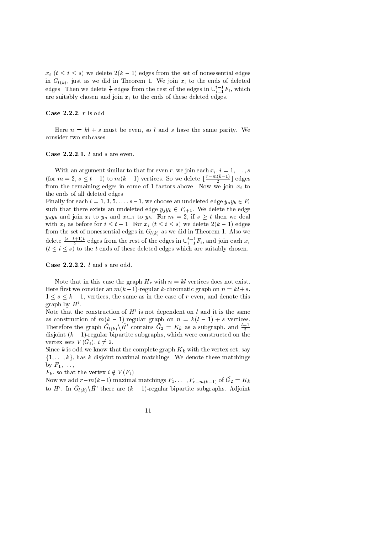$x_i$   $(t \leq i \leq s)$  we delete  $2(k-1)$  edges from the set of nonessential edges in  $G_{l(k)}$ , just as we did in Theorem 1. We join  $x_i$  to the ends of deleted edges. Then we delete  $\frac{t}{2}$  edges from the rest of the edges in  $\bigcup_{i=1}^{t-1} F_i$ , which are suitably chosen and join  $x_i$  to the ends of these deleted edges.

Case 2.2.2.  $r$  is odd.

Here  $n = kl + s$  must be even, so l and s have the same parity. We consider two subcases.

#### Case  $2.2.2.1. l$  and s are even.

With an argument similar to that for even r, we join each  $x_i$ ,  $i = 1, ..., s$ <br>(for  $m = 2, s \le t - 1$ ) to  $m(k - 1)$  vertices. So we delete  $\lfloor \frac{r - m(k-1)}{2} \rfloor$  edges from the remaining edges in some of 1-factors above. Now we join  $x_i$  to the ends of all deleted edges.

Finally for each  $i = 1, 3, 5, ..., s-1$ , we choose an undeleted edge  $y_a y_b \in F_i$ such that there exists an undeleted edge  $y_jy_b \in F_{i+1}$ . We delete the edge  $y_ay_b$  and join  $x_i$  to  $y_a$  and  $x_{i+1}$  to  $y_b$ . For  $m=2$ , if  $s\geq t$  then we deal with  $x_i$  as before for  $i \leq t-1$ . For  $x_i$   $(t \leq i \leq s)$  we delete  $2(k-1)$  edges from the set of nonessential edges in  $G_{l(k)}$  as we did in Theorem 1. Also we delete  $\frac{(s-t+1)t}{2}$  edges from the rest of the edges in  $\bigcup_{i=1}^{t-1} F_i$ , and join each  $x_i$   $(t \leq i \leq s)$  to the t ends of these deleted edges which are suitably chosen.

Case 2.2.2.2.  $l$  and  $s$  are odd.

Note that in this case the graph  $H_r$  with  $n = kl$  vertices does not exist. Here first we consider an  $m(k-1)$ -regular k-chromatic graph on  $n = kl + s$ ,  $1 \leq s \leq k-1$ , vertices, the same as in the case of r even, and denote this graph by  $H'$ .

Note that the construction of  $H'$  is not dependent on l and it is the same as construction of  $m(k-1)$ -regular graph on  $n = k(l-1) + s$  vertices. Therefore the graph  $\tilde{G}_{l(k)}\backslash \tilde{H}'$  contains  $\tilde{G}_2 = K_k$  as a subgraph, and  $\frac{l-1}{2}$ disjoint  $(k-1)$ -regular bipartite subgraphs, which were constructed on the vertex sets  $V(G_i), i \neq 2$ .

Since k is odd we know that the complete graph  $K_k$  with the vertex set, say  $\{1,\ldots,k\}$ , has k disjoint maximal matchings. We denote these matchings by  $F_1, \ldots,$ 

 $F_k$ , so that the vertex  $i \notin V(F_i)$ .

Now we add  $r-m(k-1)$  maximal matchings  $F_1, \ldots, F_{r-m(k-1)}$  of  $\tilde{G}_2 = K_k$ to H'. In  $\tilde{G}_{l(k)}\setminus \tilde{H}^{\prime}$  there are  $(k-1)$ -regular bipartite subgraphs. Adjoint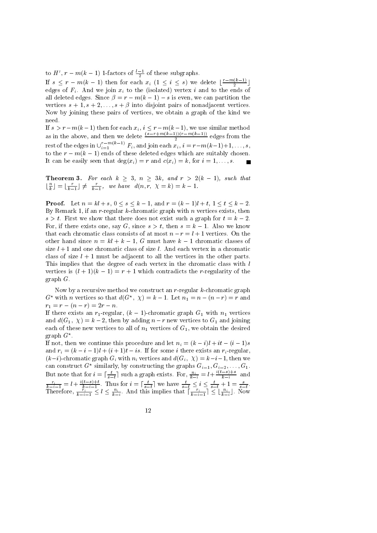to  $H'$ ,  $r - m(k-1)$  1-factors of  $\frac{l-1}{2}$  of these subgraphs.

If  $s \leq r - m(k-1)$  then for each  $x_i$   $(1 \leq i \leq s)$  we delete  $\lfloor \frac{r-m(k-1)}{2} \rfloor$ edges of  $F_i$ . And we join  $x_i$  to the (isolated) vertex i and to the ends of all deleted edges. Since  $\beta = r - m(k-1) - s$  is even, we can partition the vertices  $s + 1, s + 2, \ldots, s + \beta$  into disjoint pairs of nonadjacent vertices. Now by joining these pairs of vertices, we obtain a graph of the kind we need.

If  $s > r - m(k-1)$  then for each  $x_i$ ,  $i \leq r - m(k-1)$ , we use similar method<br>as in the above, and then we delete  $\frac{(s-r+m(k-1))(r-m(k-1))}{2}$  edges from the<br>rest of the edges in  $\bigcup_{i=1}^{r-m(k-1)} F_i$ , and join each  $x_i$ ,  $i = r - m(k-1)+1, \ld$ to the  $r - m(k-1)$  ends of these deleted edges which are suitably chosen. It can be easily seen that  $deg(x_i) = r$  and  $c(x_i) = k$ , for  $i = 1, ..., s$ .

**Theorem 3.** For each  $k \ge 3$ ,  $n \ge 3k$ , and  $r > 2(k-1)$ , such that  $\lfloor \frac{n}{k} \rfloor = \lfloor \frac{r}{k-1} \rfloor \ne \frac{r}{k-1}$ , we have  $d(n, r, \chi = k) = k - 1$ .

**Proof.** Let  $n = kl + s$ ,  $0 \le s \le k - 1$ , and  $r = (k - 1)l + t$ ,  $1 \le t \le k - 2$ . By Remark 1, if an  $r$ -regular k-chromatic graph with  $n$  vertices exists, then  $s > t$ . First we show that there does not exist such a graph for  $t = k - 2$ . For, if there exists one, say G, since  $s > t$ , then  $s = k - 1$ . Also we know that each chromatic class consists of at most  $n-r = l+1$  vertices. On the other hand since  $n = kl + k - 1$ , G must have  $k - 1$  chromatic classes of size  $l + 1$  and one chromatic class of size l. And each vertex in a chromatic class of size  $l + 1$  must be adjacent to all the vertices in the other parts. This implies that the degree of each vertex in the chromatic class with l vertices is  $(l + 1)(k - 1) = r + 1$  which contradicts the *r*-regularity of the graph  $G$ .

Now by a recursive method we construct an  $r$ -regular  $k$ -chromatic graph  $G^*$  with *n* vertices so that  $d(G^*, \chi) = k - 1$ . Let  $n_1 = n - (n - r) = r$  and  $r_1 = r - (n - r) = 2r - n.$ 

If there exists an  $r_1$ -regular,  $(k-1)$ -chromatic graph  $G_1$  with  $n_1$  vertices and  $d(G_1, \chi) = k-2$ , then by adding  $n-r$  new vertices to  $G_1$  and joining each of these new vertices to all of  $n_1$  vertices of  $G_1$ , we obtain the desired graph  $G^*$ .

If not, then we continue this procedure and let  $n_i = (k - i)l + it - (i - 1)s$ and  $r_i = (k - i - 1)l + (i + 1)t - is$ . If for some *i* there exists an  $r_i$ -regular,  $(k-i)$ -chromatic graph  $G_i$  with  $n_i$  vertices and  $d(G_i, \chi) = k-i-1$ , then we can construct  $G^*$  similarly, by constructing the graphs  $G_{i-1}, G_{i-2}, \ldots, G_1$ . But note that for  $i = \lceil \frac{t}{s-t} \rceil$  such a graph exists. For,  $\frac{n_i}{k-i} = l + \frac{i(t-s)+s}{k-i}$  and  $\frac{r_i}{k-i-1} = l + \frac{i(t-s)+t}{k-i-1}$ . Thus for  $i = \lceil \frac{t}{s-t} \rceil$  we have  $\frac{t}{s-t} \leq i \leq \frac{t}{s-t} + 1 = \frac{s}{s-t}$ .<br>Therefore,  $\frac{r_i}{k-i-1} \leq l \leq \frac{n_i}{k-i}$ . And this implies that  $\lceil \frac{r_i}{k-i-1} \rceil \leq \lfloor \frac{n_i}{k-i} \rfloor$ . Now